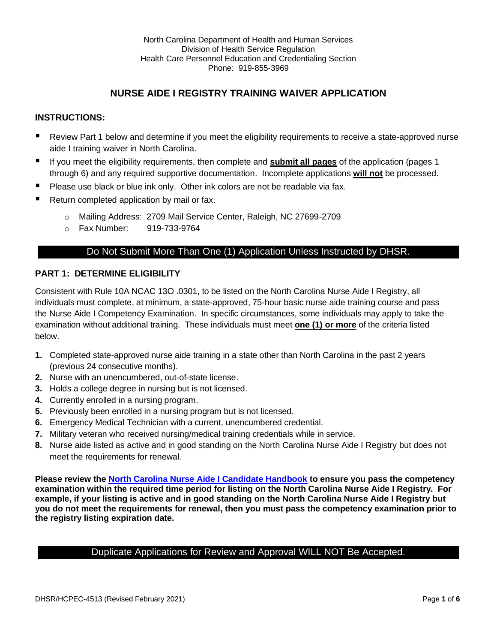# **NURSE AIDE I REGISTRY TRAINING WAIVER APPLICATION**

# **INSTRUCTIONS:**

- Review Part 1 below and determine if you meet the eligibility requirements to receive a state-approved nurse aide I training waiver in North Carolina.
- If you meet the eligibility requirements, then complete and **submit all pages** of the application (pages 1 through 6) and any required supportive documentation. Incomplete applications **will not** be processed.
- Please use black or blue ink only. Other ink colors are not be readable via fax.
- Return completed application by mail or fax.
	- o Mailing Address: 2709 Mail Service Center, Raleigh, NC 27699-2709
	- o Fax Number: 919-733-9764

# Do Not Submit More Than One (1) Application Unless Instructed by DHSR.

### **PART 1: DETERMINE ELIGIBILITY**

Consistent with Rule 10A NCAC 13O .0301, to be listed on the North Carolina Nurse Aide I Registry, all individuals must complete, at minimum, a state-approved, 75-hour basic nurse aide training course and pass the Nurse Aide I Competency Examination. In specific circumstances, some individuals may apply to take the examination without additional training. These individuals must meet **one (1) or more** of the criteria listed below.

- **1.** Completed state-approved nurse aide training in a state other than North Carolina in the past 2 years (previous 24 consecutive months).
- **2.** Nurse with an unencumbered, out-of-state license.
- **3.** Holds a college degree in nursing but is not licensed.
- **4.** Currently enrolled in a nursing program.
- **5.** Previously been enrolled in a nursing program but is not licensed.
- **6.** Emergency Medical Technician with a current, unencumbered credential.
- **7.** Military veteran who received nursing/medical training credentials while in service.
- **8.** Nurse aide listed as active and in good standing on the North Carolina Nurse Aide I Registry but does not meet the requirements for renewal.

**Please review the [North Carolina Nurse Aide I Candidate Handbook](https://home.pearsonvue.com/getattachment/856d1d81-6619-4772-8cbe-cf48f491c10a/North%20Carolina%20Nurse%20Aide%20I%20Candidate%20Handbook.aspx) to ensure you pass the competency examination within the required time period for listing on the North Carolina Nurse Aide I Registry. For example, if your listing is active and in good standing on the North Carolina Nurse Aide I Registry but you do not meet the requirements for renewal, then you must pass the competency examination prior to the registry listing expiration date.** 

# Duplicate Applications for Review and Approval WILL NOT Be Accepted.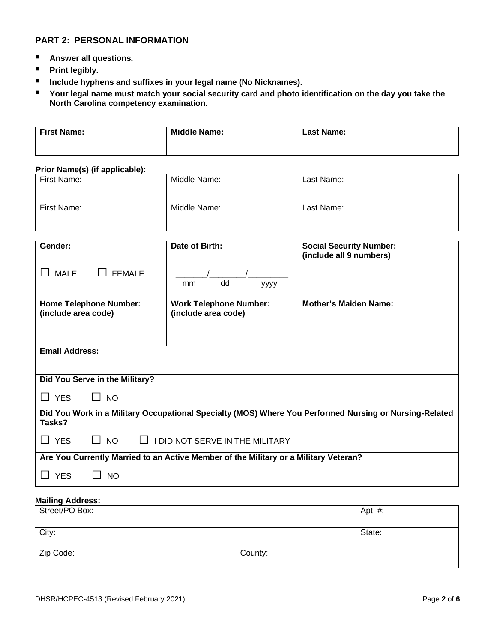### **PART 2: PERSONAL INFORMATION**

- **Answer all questions.**
- **Print legibly.**
- Include hyphens and suffixes in your legal name (No Nicknames).
- Your legal name must match your social security card and photo identification on the day you take the **North Carolina competency examination.**

| <b>First Name:</b> | <b>Middle Name:</b> | <b>Last Name:</b> |
|--------------------|---------------------|-------------------|
|                    |                     |                   |

#### **Prior Name(s) (if applicable):**

| First Name: | Middle Name: | Last Name: |
|-------------|--------------|------------|
| First Name: | Middle Name: | Last Name: |

| Gender:                                              | Date of Birth:                                                                       | <b>Social Security Number:</b><br>(include all 9 numbers)                                              |
|------------------------------------------------------|--------------------------------------------------------------------------------------|--------------------------------------------------------------------------------------------------------|
| <b>MALE</b><br><b>FEMALE</b>                         | dd<br>mm<br>уууу                                                                     |                                                                                                        |
| <b>Home Telephone Number:</b><br>(include area code) | <b>Work Telephone Number:</b><br>(include area code)                                 | <b>Mother's Maiden Name:</b>                                                                           |
| <b>Email Address:</b>                                |                                                                                      |                                                                                                        |
| Did You Serve in the Military?                       |                                                                                      |                                                                                                        |
| <b>YES</b><br>$\Box$ NO                              |                                                                                      |                                                                                                        |
| Tasks?                                               |                                                                                      | Did You Work in a Military Occupational Specialty (MOS) Where You Performed Nursing or Nursing-Related |
| <b>YES</b><br><b>NO</b><br>$\Box$                    | I DID NOT SERVE IN THE MILITARY                                                      |                                                                                                        |
|                                                      | Are You Currently Married to an Active Member of the Military or a Military Veteran? |                                                                                                        |
| <b>YES</b><br><b>NO</b>                              |                                                                                      |                                                                                                        |

### **Mailing Address:**

| Street/PO Box: |         | Apt. #: |
|----------------|---------|---------|
| City:          |         | State:  |
| Zip Code:      | County: |         |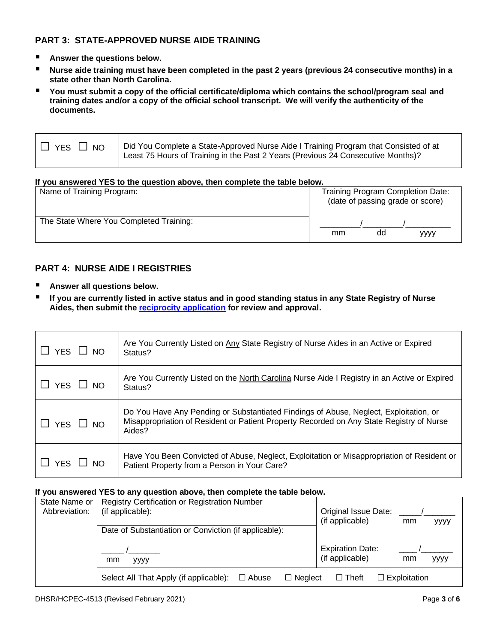# **PART 3: STATE-APPROVED NURSE AIDE TRAINING**

- Answer the questions below.
- **Nurse aide training must have been completed in the past 2 years (previous 24 consecutive months) in a state other than North Carolina.**
- **You must submit a copy of the official certificate/diploma which contains the school/program seal and training dates and/or a copy of the official school transcript. We will verify the authenticity of the documents.**

| $\Box$ YES | Did You Complete a State-Approved Nurse Aide I Training Program that Consisted of at |
|------------|--------------------------------------------------------------------------------------|
| NO         | Least 75 Hours of Training in the Past 2 Years (Previous 24 Consecutive Months)?     |

#### **If you answered YES to the question above, then complete the table below.**

| Name of Training Program:               |  |    |    | Training Program Completion Date:<br>(date of passing grade or score) |
|-----------------------------------------|--|----|----|-----------------------------------------------------------------------|
| The State Where You Completed Training: |  | mm | dd | yyyy                                                                  |

# **PART 4: NURSE AIDE I REGISTRIES**

- **Answer all questions below.**
- If you are currently listed in active status and in good standing status in any State Registry of Nurse **Aides, then submit the [reciprocity application](https://www.ncnar.org/pdf/Reciprocity%20Candidate%20Application.pdf) for review and approval.**

| $YES \Box NO$        | Are You Currently Listed on Any State Registry of Nurse Aides in an Active or Expired<br>Status?                                                                                            |
|----------------------|---------------------------------------------------------------------------------------------------------------------------------------------------------------------------------------------|
| $\Box$ YES $\Box$ NO | Are You Currently Listed on the North Carolina Nurse Aide I Registry in an Active or Expired<br>Status?                                                                                     |
| $\Box$ YES $\Box$ NO | Do You Have Any Pending or Substantiated Findings of Abuse, Neglect, Exploitation, or<br>Misappropriation of Resident or Patient Property Recorded on Any State Registry of Nurse<br>Aides? |
| $\Box$ YES $\Box$ NO | Have You Been Convicted of Abuse, Neglect, Exploitation or Misappropriation of Resident or<br>Patient Property from a Person in Your Care?                                                  |

#### **If you answered YES to any question above, then complete the table below.**

| State Name or<br>Abbreviation: | Registry Certification or Registration Number<br>(if applicable):        | Original Issue Date:                                     |
|--------------------------------|--------------------------------------------------------------------------|----------------------------------------------------------|
|                                | Date of Substantiation or Conviction (if applicable):                    | (if applicable)<br>mm<br>уууу                            |
|                                | mm<br><b>YYYY</b>                                                        | <b>Expiration Date:</b><br>(if applicable)<br>mm<br>уууу |
|                                | Select All That Apply (if applicable):<br>$\Box$ Neglect<br>$\Box$ Abuse | $\Box$ Exploitation<br>$\Box$ Theft                      |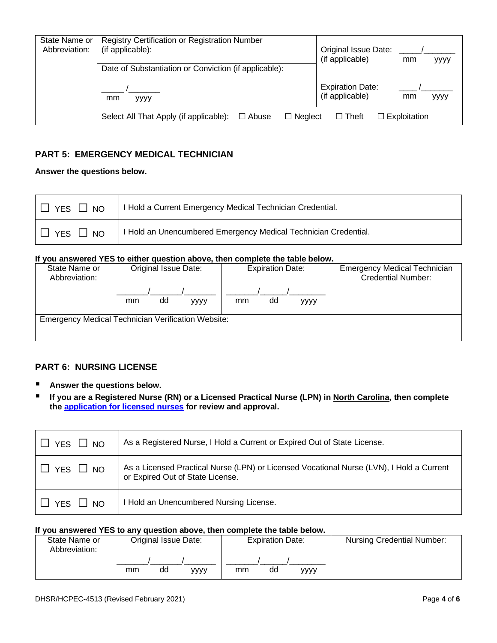| State Name or<br>Abbreviation: | Registry Certification or Registration Number<br>(if applicable):        | Original Issue Date:<br>(if applicable)<br>mm<br>уууу           |
|--------------------------------|--------------------------------------------------------------------------|-----------------------------------------------------------------|
|                                | Date of Substantiation or Conviction (if applicable):                    |                                                                 |
|                                | mm<br><b>VVVV</b>                                                        | <b>Expiration Date:</b><br>(if applicable)<br>mm<br><b>YYYY</b> |
|                                | Select All That Apply (if applicable):<br>$\Box$ Neglect<br>$\Box$ Abuse | $\Box$ Exploitation<br>$\Box$ Theft                             |

# **PART 5: EMERGENCY MEDICAL TECHNICIAN**

#### **Answer the questions below.**

| <b>YES</b><br>$\Box$ NO | I Hold a Current Emergency Medical Technician Credential.       |
|-------------------------|-----------------------------------------------------------------|
| <b>YES</b><br>$\Box$ NO | I Hold an Unencumbered Emergency Medical Technician Credential. |

#### **If you answered YES to either question above, then complete the table below.**

| State Name or<br>Abbreviation: | Original Issue Date:                                      | <b>Expiration Date:</b> | <b>Emergency Medical Technician</b><br><b>Credential Number:</b> |
|--------------------------------|-----------------------------------------------------------|-------------------------|------------------------------------------------------------------|
|                                | dd<br>mm<br>уууу                                          | dd<br>mm<br>уууу        |                                                                  |
|                                | <b>Emergency Medical Technician Verification Website:</b> |                         |                                                                  |

### **PART 6: NURSING LICENSE**

- Answer the questions below.
- **If you are a Registered Nurse (RN) or a Licensed Practical Nurse (LPN) in North Carolina, then complete the [application for licensed nurses](https://info.ncdhhs.gov/dhsr/hcpr/pdf/RNRegistry2.pdf) for review and approval.**

| YES □ NO                        | As a Registered Nurse, I Hold a Current or Expired Out of State License.                                                     |
|---------------------------------|------------------------------------------------------------------------------------------------------------------------------|
| $\Box$ YES $\Box$ NO            | As a Licensed Practical Nurse (LPN) or Licensed Vocational Nurse (LVN), I Hold a Current<br>or Expired Out of State License. |
| <b>YFS</b><br>$\overline{1}$ NO | I Hold an Unencumbered Nursing License.                                                                                      |

#### **If you answered YES to any question above, then complete the table below.**

| State Name or<br>Abbreviation: |    | Original Issue Date: |      | <b>Expiration Date:</b> |    |      | <b>Nursing Credential Number:</b> |
|--------------------------------|----|----------------------|------|-------------------------|----|------|-----------------------------------|
|                                | mm | dd                   | уууу | mm                      | dd | уууу |                                   |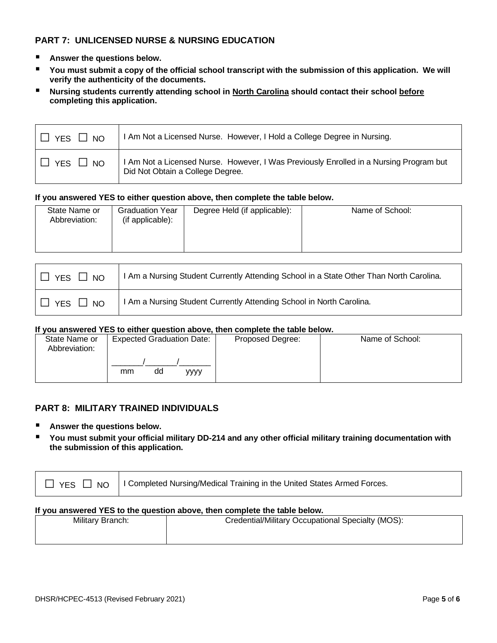# **PART 7: UNLICENSED NURSE & NURSING EDUCATION**

- Answer the questions below.
- You must submit a copy of the official school transcript with the submission of this application. We will **verify the authenticity of the documents.**
- Nursing students currently attending school in North Carolina should contact their school before **completing this application.**

| $\Box$ YES $\Box$ NO | I Am Not a Licensed Nurse. However, I Hold a College Degree in Nursing.                                                    |
|----------------------|----------------------------------------------------------------------------------------------------------------------------|
| $\Box$ YES $\Box$ NO | I Am Not a Licensed Nurse. However, I Was Previously Enrolled in a Nursing Program but<br>Did Not Obtain a College Degree. |

#### **If you answered YES to either question above, then complete the table below.**

| State Name or<br><b>Graduation Year</b><br>(if applicable):<br>Abbreviation: | Degree Held (if applicable): | Name of School: |
|------------------------------------------------------------------------------|------------------------------|-----------------|
|------------------------------------------------------------------------------|------------------------------|-----------------|

| $\Box$ YES $\Box$ NO | I I Am a Nursing Student Currently Attending School in a State Other Than North Carolina. |
|----------------------|-------------------------------------------------------------------------------------------|
| $\Box$ YES $\Box$ NO | I Am a Nursing Student Currently Attending School in North Carolina.                      |

#### **If you answered YES to either question above, then complete the table below.**

| State Name or<br>Abbreviation: | <b>Expected Graduation Date:</b> | Proposed Degree: | Name of School: |
|--------------------------------|----------------------------------|------------------|-----------------|
|                                | dd<br>mm<br>уууу                 |                  |                 |

### **PART 8: MILITARY TRAINED INDIVIDUALS**

- Answer the questions below.
- You must submit your official military DD-214 and any other official military training documentation with **the submission of this application.**

|  | $\Box$ YES $\Box$ NO   Completed Nursing/Medical Training in the United States Armed Forces. |
|--|----------------------------------------------------------------------------------------------|
|--|----------------------------------------------------------------------------------------------|

#### **If you answered YES to the question above, then complete the table below.**

| <b>Military Branch:</b> | Credential/Military Occupational Specialty (MOS): |
|-------------------------|---------------------------------------------------|
|                         |                                                   |